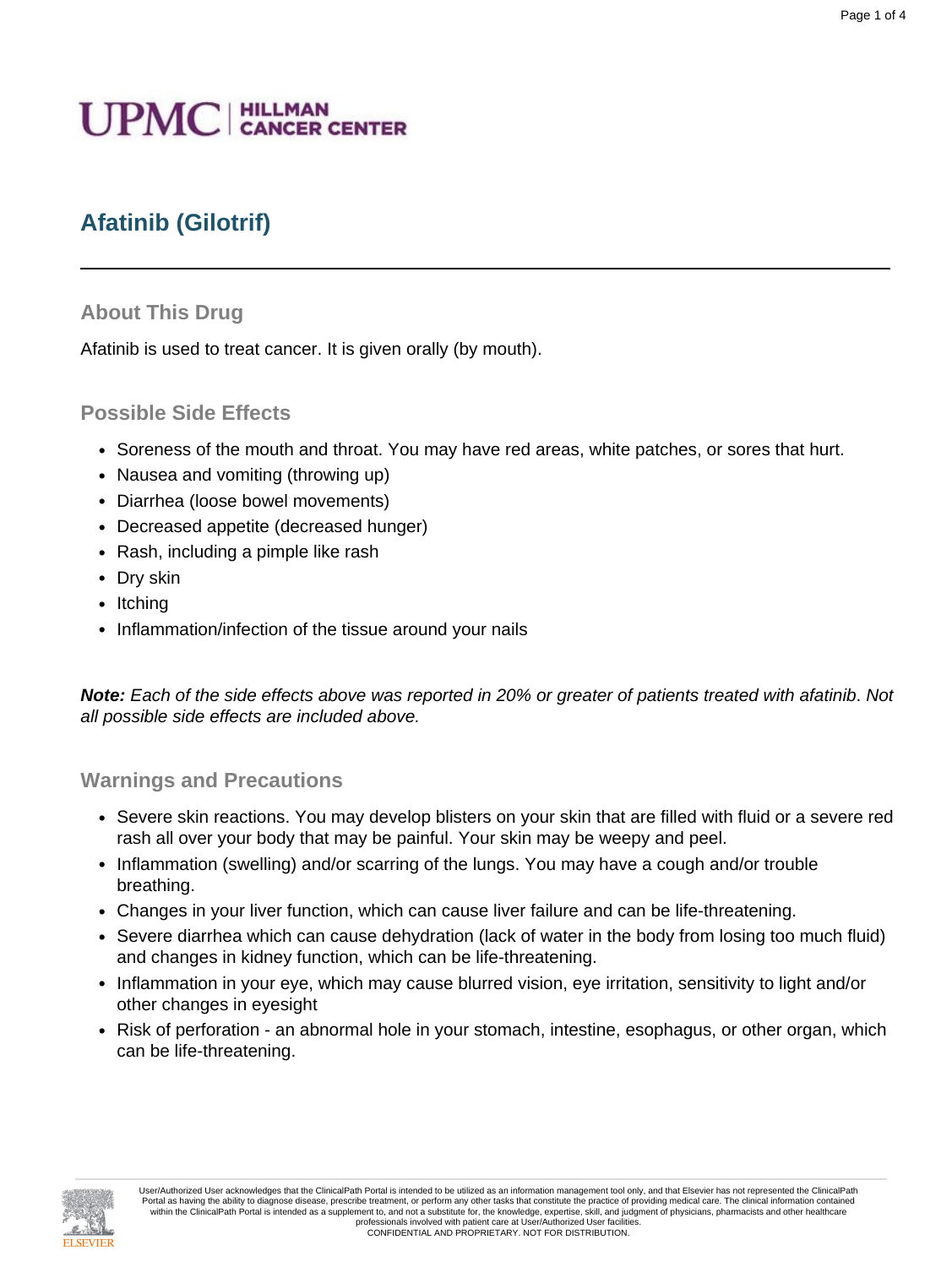# **UPMC** | HILLMAN

## **Afatinib (Gilotrif)**

#### **About This Drug**

Afatinib is used to treat cancer. It is given orally (by mouth).

#### **Possible Side Effects**

- Soreness of the mouth and throat. You may have red areas, white patches, or sores that hurt.
- Nausea and vomiting (throwing up)
- Diarrhea (loose bowel movements)
- Decreased appetite (decreased hunger)
- Rash, including a pimple like rash
- Dry skin
- Itching
- Inflammation/infection of the tissue around your nails

**Note:** Each of the side effects above was reported in 20% or greater of patients treated with afatinib. Not all possible side effects are included above.

#### **Warnings and Precautions**

- Severe skin reactions. You may develop blisters on your skin that are filled with fluid or a severe red rash all over your body that may be painful. Your skin may be weepy and peel.
- Inflammation (swelling) and/or scarring of the lungs. You may have a cough and/or trouble breathing.
- Changes in your liver function, which can cause liver failure and can be life-threatening.
- Severe diarrhea which can cause dehydration (lack of water in the body from losing too much fluid) and changes in kidney function, which can be life-threatening.
- Inflammation in your eye, which may cause blurred vision, eye irritation, sensitivity to light and/or other changes in eyesight
- Risk of perforation an abnormal hole in your stomach, intestine, esophagus, or other organ, which can be life-threatening.

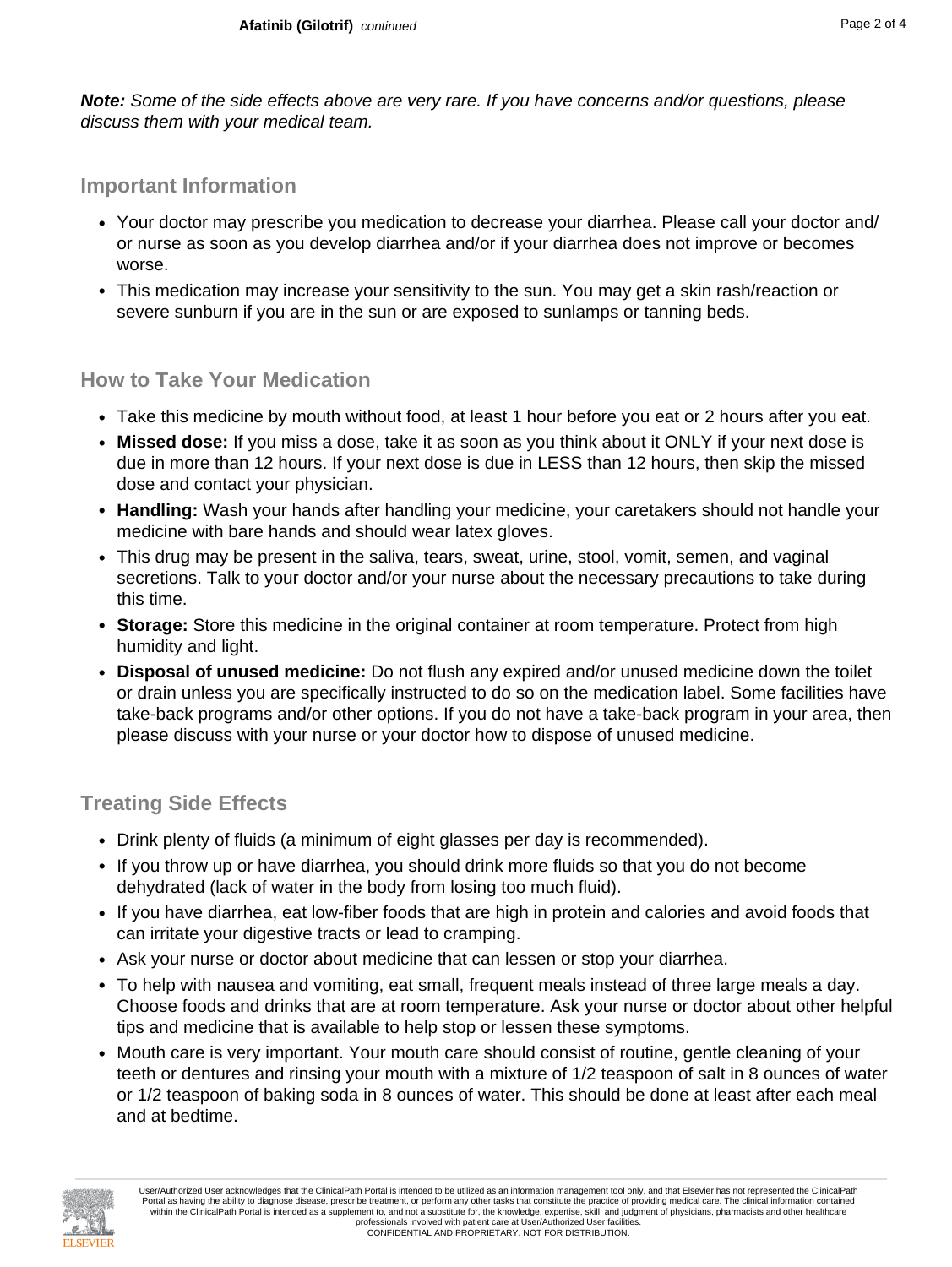**Note:** Some of the side effects above are very rare. If you have concerns and/or questions, please discuss them with your medical team.

#### **Important Information**

- Your doctor may prescribe you medication to decrease your diarrhea. Please call your doctor and/ or nurse as soon as you develop diarrhea and/or if your diarrhea does not improve or becomes worse.
- This medication may increase your sensitivity to the sun. You may get a skin rash/reaction or severe sunburn if you are in the sun or are exposed to sunlamps or tanning beds.

#### **How to Take Your Medication**

- Take this medicine by mouth without food, at least 1 hour before you eat or 2 hours after you eat.
- **Missed dose:** If you miss a dose, take it as soon as you think about it ONLY if your next dose is due in more than 12 hours. If your next dose is due in LESS than 12 hours, then skip the missed dose and contact your physician.
- **Handling:** Wash your hands after handling your medicine, your caretakers should not handle your medicine with bare hands and should wear latex gloves.
- This drug may be present in the saliva, tears, sweat, urine, stool, vomit, semen, and vaginal secretions. Talk to your doctor and/or your nurse about the necessary precautions to take during this time.
- **Storage:** Store this medicine in the original container at room temperature. Protect from high humidity and light.
- **Disposal of unused medicine:** Do not flush any expired and/or unused medicine down the toilet or drain unless you are specifically instructed to do so on the medication label. Some facilities have take-back programs and/or other options. If you do not have a take-back program in your area, then please discuss with your nurse or your doctor how to dispose of unused medicine.

#### **Treating Side Effects**

- Drink plenty of fluids (a minimum of eight glasses per day is recommended).
- If you throw up or have diarrhea, you should drink more fluids so that you do not become dehydrated (lack of water in the body from losing too much fluid).
- If you have diarrhea, eat low-fiber foods that are high in protein and calories and avoid foods that can irritate your digestive tracts or lead to cramping.
- Ask your nurse or doctor about medicine that can lessen or stop your diarrhea.
- To help with nausea and vomiting, eat small, frequent meals instead of three large meals a day. Choose foods and drinks that are at room temperature. Ask your nurse or doctor about other helpful tips and medicine that is available to help stop or lessen these symptoms.
- Mouth care is very important. Your mouth care should consist of routine, gentle cleaning of your teeth or dentures and rinsing your mouth with a mixture of 1/2 teaspoon of salt in 8 ounces of water or 1/2 teaspoon of baking soda in 8 ounces of water. This should be done at least after each meal and at bedtime.

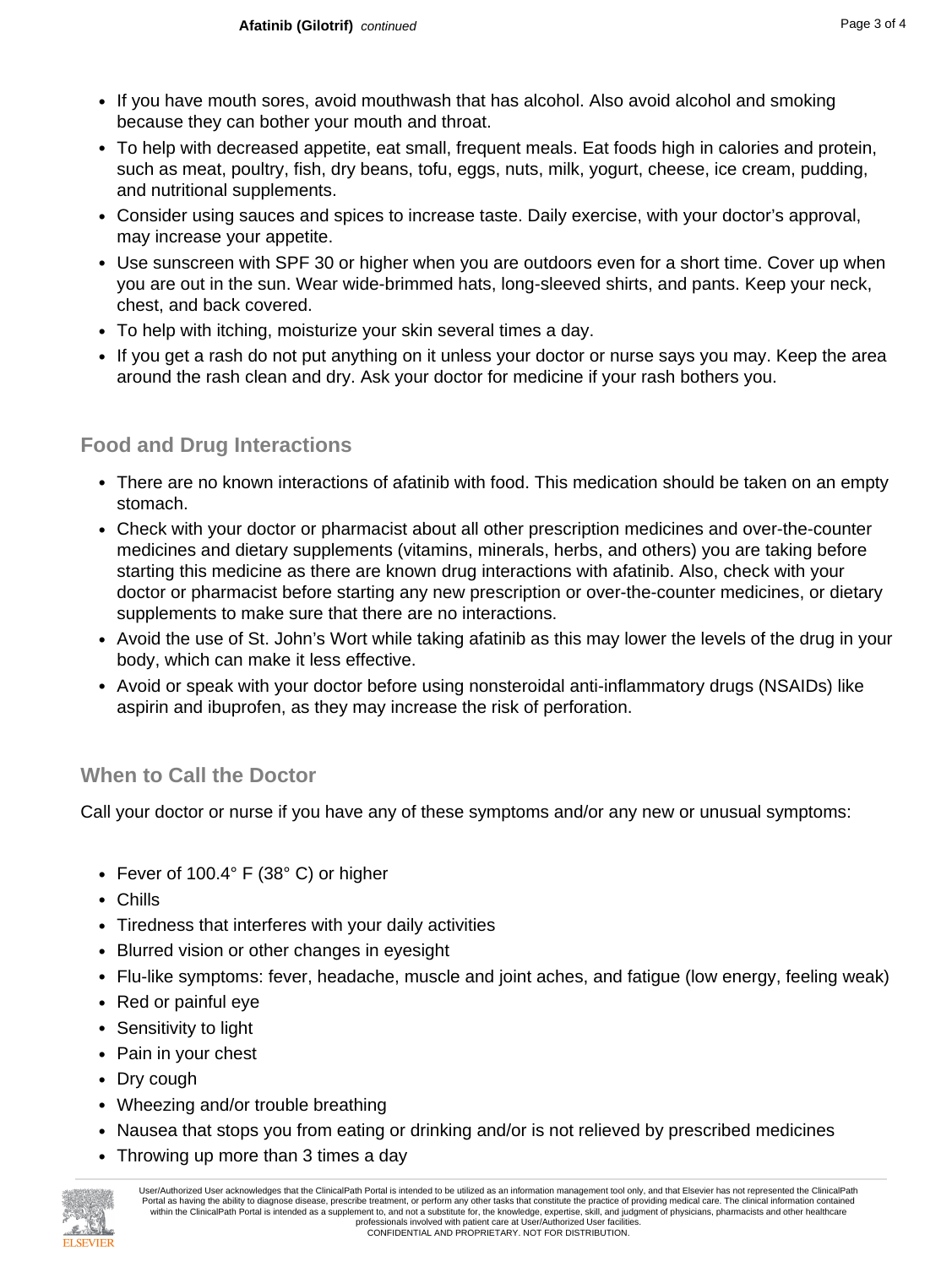- If you have mouth sores, avoid mouthwash that has alcohol. Also avoid alcohol and smoking because they can bother your mouth and throat.
- To help with decreased appetite, eat small, frequent meals. Eat foods high in calories and protein, such as meat, poultry, fish, dry beans, tofu, eggs, nuts, milk, yogurt, cheese, ice cream, pudding, and nutritional supplements.
- Consider using sauces and spices to increase taste. Daily exercise, with your doctor's approval, may increase your appetite.
- Use sunscreen with SPF 30 or higher when you are outdoors even for a short time. Cover up when you are out in the sun. Wear wide-brimmed hats, long-sleeved shirts, and pants. Keep your neck, chest, and back covered.
- To help with itching, moisturize your skin several times a day.
- If you get a rash do not put anything on it unless your doctor or nurse says you may. Keep the area around the rash clean and dry. Ask your doctor for medicine if your rash bothers you.

## **Food and Drug Interactions**

- There are no known interactions of afatinib with food. This medication should be taken on an empty stomach.
- Check with your doctor or pharmacist about all other prescription medicines and over-the-counter medicines and dietary supplements (vitamins, minerals, herbs, and others) you are taking before starting this medicine as there are known drug interactions with afatinib. Also, check with your doctor or pharmacist before starting any new prescription or over-the-counter medicines, or dietary supplements to make sure that there are no interactions.
- Avoid the use of St. John's Wort while taking afatinib as this may lower the levels of the drug in your body, which can make it less effective.
- Avoid or speak with your doctor before using nonsteroidal anti-inflammatory drugs (NSAIDs) like aspirin and ibuprofen, as they may increase the risk of perforation.

## **When to Call the Doctor**

Call your doctor or nurse if you have any of these symptoms and/or any new or unusual symptoms:

- Fever of 100.4° F (38° C) or higher
- Chills
- Tiredness that interferes with your daily activities
- Blurred vision or other changes in eyesight
- Flu-like symptoms: fever, headache, muscle and joint aches, and fatigue (low energy, feeling weak)
- Red or painful eye
- Sensitivity to light
- Pain in your chest
- Dry cough
- Wheezing and/or trouble breathing
- Nausea that stops you from eating or drinking and/or is not relieved by prescribed medicines
- Throwing up more than 3 times a day